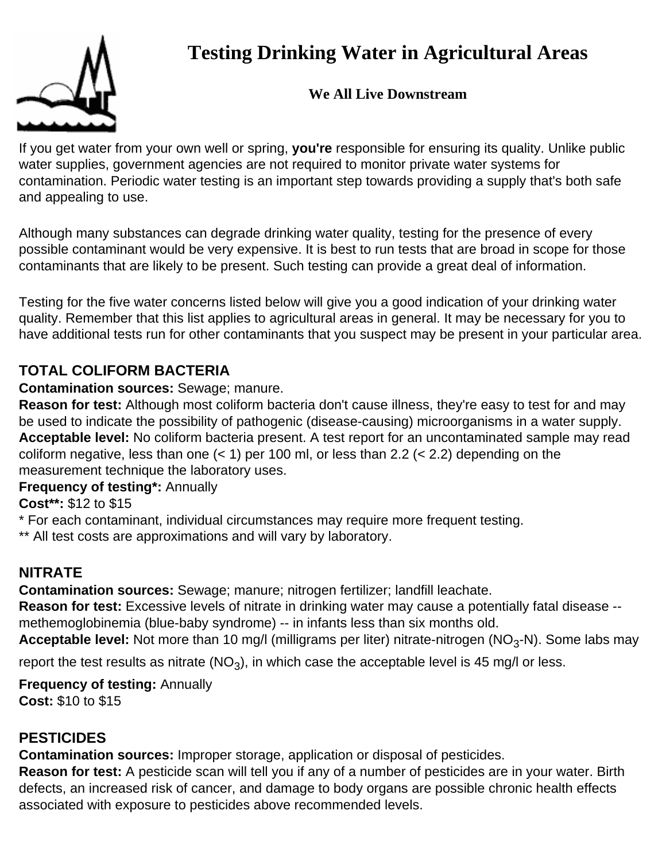# **Testing Drinking Water in Agricultural Areas**

### **We All Live Downstream**

If you get water from your own well or spring, **you're** responsible for ensuring its quality. Unlike public water supplies, government agencies are not required to monitor private water systems for contamination. Periodic water testing is an important step towards providing a supply that's both safe and appealing to use.

Although many substances can degrade drinking water quality, testing for the presence of every possible contaminant would be very expensive. It is best to run tests that are broad in scope for those contaminants that are likely to be present. Such testing can provide a great deal of information.

Testing for the five water concerns listed below will give you a good indication of your drinking water quality. Remember that this list applies to agricultural areas in general. It may be necessary for you to have additional tests run for other contaminants that you suspect may be present in your particular area.

# **TOTAL COLIFORM BACTERIA**

#### **Contamination sources:** Sewage; manure.

**Reason for test:** Although most coliform bacteria don't cause illness, they're easy to test for and may be used to indicate the possibility of pathogenic (disease-causing) microorganisms in a water supply. **Acceptable level:** No coliform bacteria present. A test report for an uncontaminated sample may read coliform negative, less than one  $(< 1)$  per 100 ml, or less than 2.2  $(< 2.2)$  depending on the measurement technique the laboratory uses.

### **Frequency of testing\*:** Annually

**Cost\*\*:** \$12 to \$15

\* For each contaminant, individual circumstances may require more frequent testing.

\*\* All test costs are approximations and will vary by laboratory.

# **NITRATE**

**Contamination sources:** Sewage; manure; nitrogen fertilizer; landfill leachate.

**Reason for test:** Excessive levels of nitrate in drinking water may cause a potentially fatal disease - methemoglobinemia (blue-baby syndrome) -- in infants less than six months old.

**Acceptable level:** Not more than 10 mg/l (milligrams per liter) nitrate-nitrogen (NO<sub>3</sub>-N). Some labs may

report the test results as nitrate  $(NO<sub>3</sub>)$ , in which case the acceptable level is 45 mg/l or less.

**Frequency of testing:** Annually **Cost:** \$10 to \$15

# **PESTICIDES**

**Contamination sources:** Improper storage, application or disposal of pesticides.

**Reason for test:** A pesticide scan will tell you if any of a number of pesticides are in your water. Birth defects, an increased risk of cancer, and damage to body organs are possible chronic health effects associated with exposure to pesticides above recommended levels.